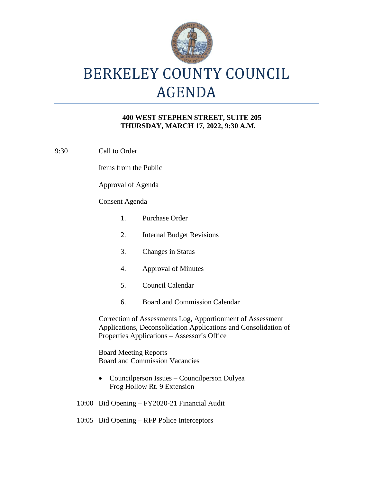

# BERKELEY COUNTY COUNCIL AGENDA

### **400 WEST STEPHEN STREET, SUITE 205 THURSDAY, MARCH 17, 2022, 9:30 A.M.**

9:30 Call to Order

Items from the Public

Approval of Agenda

### Consent Agenda

- 1. Purchase Order 2. Internal Budget Revisions 3. Changes in Status 4. Approval of Minutes 5. Council Calendar 6. Board and Commission Calendar Correction of Assessments Log, Apportionment of Assessment Applications, Deconsolidation Applications and Consolidation of Properties Applications – Assessor's Office Board Meeting Reports Board and Commission Vacancies
- Councilperson Issues Councilperson Dulyea Frog Hollow Rt. 9 Extension
- 10:00 Bid Opening FY2020-21 Financial Audit
- 10:05 Bid Opening RFP Police Interceptors